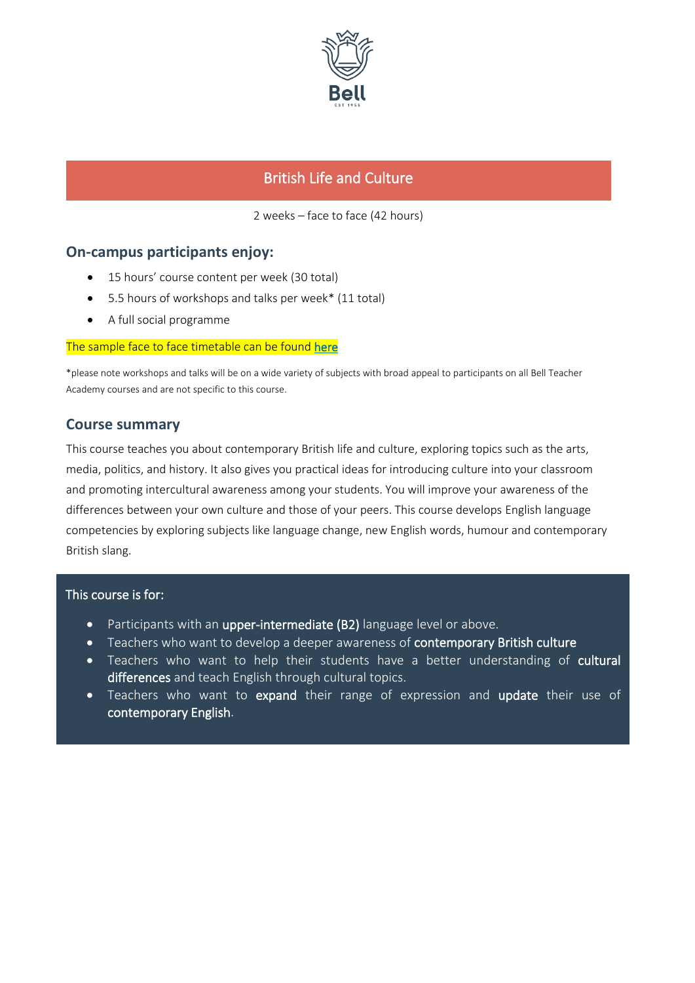

# British Life and Culture

2 weeks – face to face (42 hours)

### **On-campus participants enjoy:**

- 15 hours' course content per week (30 total)
- 5.5 hours of workshops and talks per week\* (11 total)
- A full social programme

#### The sample face to face timetable can be found [here](https://www.bellenglish.com/wp-content/uploads/2022/02/Sample-Timetable-F2F-BTA-2022-626a950eade06.pdf)

\*please note workshops and talks will be on a wide variety of subjects with broad appeal to participants on all Bell Teacher Academy courses and are not specific to this course.

### **Course summary**

This course teaches you about contemporary British life and culture, exploring topics such as the arts, media, politics, and history. It also gives you practical ideas for introducing culture into your classroom and promoting intercultural awareness among your students. You will improve your awareness of the differences between your own culture and those of your peers. This course develops English language competencies by exploring subjects like language change, new English words, humour and contemporary British slang.

#### This course is for:

- Participants with an upper-intermediate (B2) language level or above.
- Teachers who want to develop a deeper awareness of contemporary British culture
- Teachers who want to help their students have a better understanding of cultural differences and teach English through cultural topics.
- Teachers who want to expand their range of expression and update their use of contemporary English.